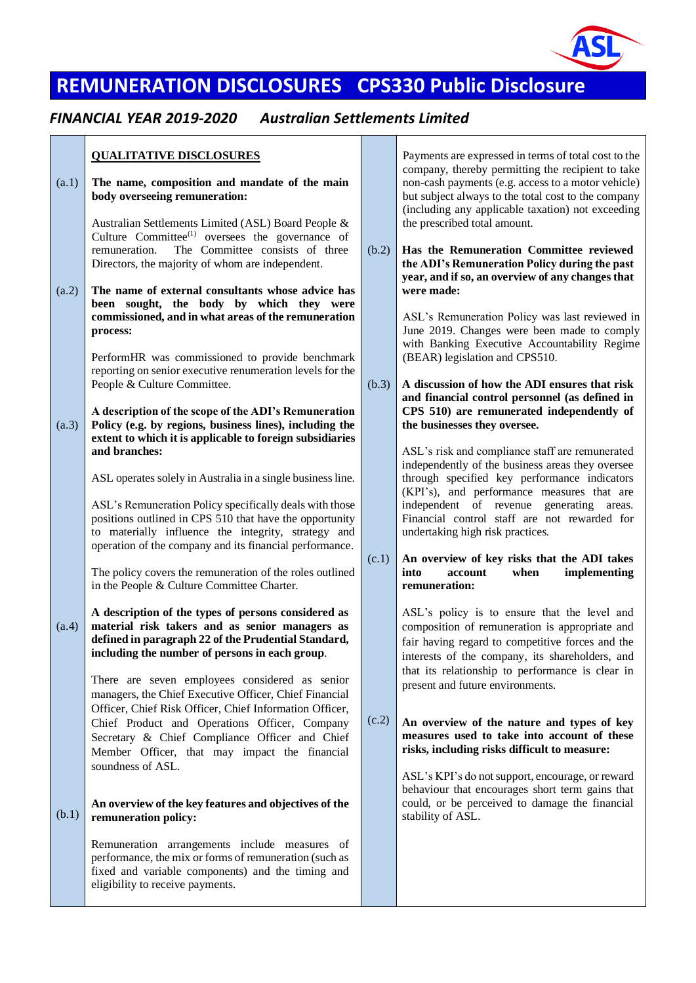

# **REMUNERATION DISCLOSURES CPS330 Public Disclosure**

### *FINANCIAL YEAR 2019-2020 Australian Settlements Limited*

## **QUALITATIVE DISCLOSURES**

| (a.1) | The name, composition and mandate of the main<br>body overseeing remuneration:<br>Australian Settlements Limited (ASL) Board People &<br>Culture Committee <sup>(1)</sup> oversees the governance of<br>The Committee consists of three<br>remuneration.                                                                                                                   | (b.2) | company, the<br>non-cash payı<br>but subject al<br>(including an<br>the prescribed<br>Has the Ren                                       |
|-------|----------------------------------------------------------------------------------------------------------------------------------------------------------------------------------------------------------------------------------------------------------------------------------------------------------------------------------------------------------------------------|-------|-----------------------------------------------------------------------------------------------------------------------------------------|
| (a.2) | Directors, the majority of whom are independent.<br>The name of external consultants whose advice has<br>sought, the body by which they were<br>been<br>commissioned, and in what areas of the remuneration<br>process:<br>PerformHR was commissioned to provide benchmark<br>reporting on senior executive renumeration levels for the                                    |       | the ADI's Re<br>year, and if so<br>were made:<br>ASL's Remui<br>June 2019. C<br>with Banking<br>(BEAR) legis                            |
| (a.3) | People & Culture Committee.<br>A description of the scope of the ADI's Remuneration<br>Policy (e.g. by regions, business lines), including the<br>extent to which it is applicable to foreign subsidiaries<br>and branches:                                                                                                                                                | (b.3) | A discussion<br>and financial<br>CPS 510) ar<br>the businesse<br>ASL's risk an<br>independently                                         |
|       | ASL operates solely in Australia in a single business line.<br>ASL's Remuneration Policy specifically deals with those<br>positions outlined in CPS 510 that have the opportunity<br>to materially influence the integrity, strategy and<br>operation of the company and its financial performance.                                                                        | (c.1) | through spec<br>(KPI's), and<br>independent<br>Financial cor<br>undertaking h<br>An overview                                            |
| (a.4) | The policy covers the remuneration of the roles outlined<br>in the People & Culture Committee Charter.<br>A description of the types of persons considered as<br>material risk takers and as senior managers as<br>defined in paragraph 22 of the Prudential Standard,<br>including the number of persons in each group.<br>There are seven employees considered as senior |       | into<br>acco<br>remuneration<br>ASL's policy<br>composition o<br>fair having re<br>interests of tl<br>that its relati<br>present and fu |
|       | managers, the Chief Executive Officer, Chief Financial<br>Officer, Chief Risk Officer, Chief Information Officer,<br>Chief Product and Operations Officer, Company<br>Secretary & Chief Compliance Officer and Chief<br>Member Officer, that may impact the financial<br>soundness of ASL.                                                                                 | (c.2) | An overview<br>measures us<br>risks, includi<br>ASL's KPI's                                                                             |
| (b.1) | An overview of the key features and objectives of the<br>remuneration policy:<br>Remuneration arrangements include measures of<br>performance, the mix or forms of remuneration (such as<br>fixed and variable components) and the timing and<br>eligibility to receive payments.                                                                                          |       | behaviour tha<br>could, or be<br>stability of A.                                                                                        |
|       |                                                                                                                                                                                                                                                                                                                                                                            |       |                                                                                                                                         |

Payments are expressed in terms of total cost to the ereby permitting the recipient to take ments (e.g. access to a motor vehicle) ways to the total cost to the company y applicable taxation) not exceeding d total amount.

**Has the Remuneration Committee reviewed the Munition Policy during the past** *o***, an overview of any changes that** 

> neration Policy was last reviewed in Changes were been made to comply g Executive Accountability Regime slation and CPS510.

**A discussion of how the ADI ensures that risk**  control personnel (as defined in **c** remunerated independently of **they oversee.** 

> d compliance staff are remunerated of the business areas they oversee executively performance indicators performance measures that are of revenue generating areas. ntrol staff are not rewarded for igh risk practices.

#### of key risks that the ADI takes **into account when implementing**   $\mathbf{n}$ :

y is to ensure that the level and of remuneration is appropriate and egard to competitive forces and the he company, its shareholders, and to performance is clear in ture environments.

#### of the nature and types of key *m***ead to take into account of these risks, including risks difficult to measure:**

do not support, encourage, or reward at encourages short term gains that perceived to damage the financial  $SL.$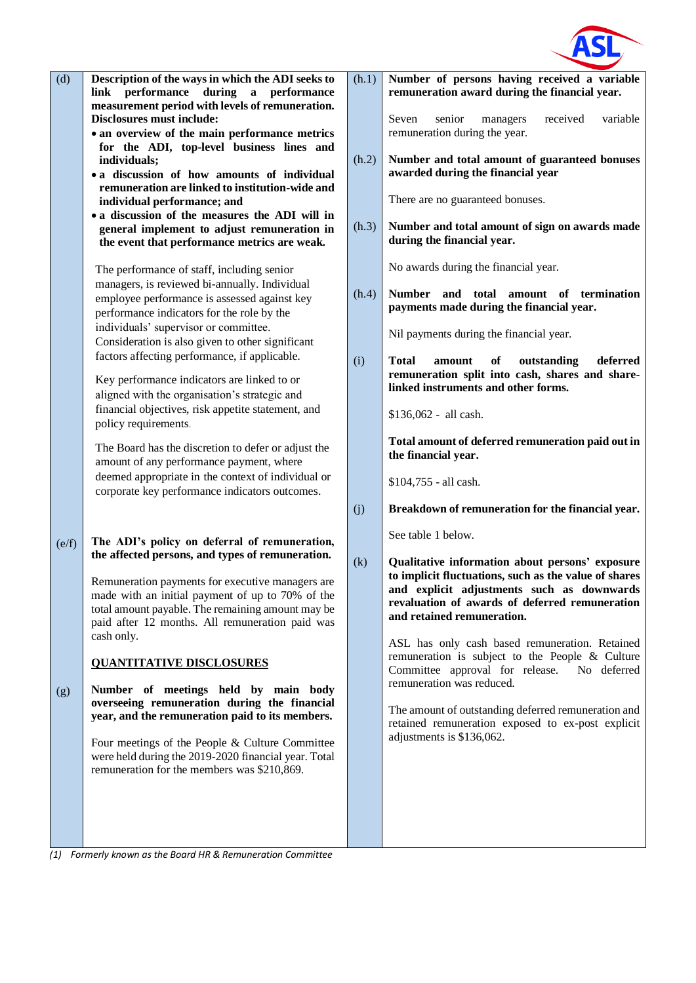

| (d)          | Description of the ways in which the ADI seeks to<br>link performance<br>during<br>a performance<br>measurement period with levels of remuneration.<br><b>Disclosures must include:</b><br>• an overview of the main performance metrics<br>for the ADI, top-level business lines and<br>individuals;<br>• a discussion of how amounts of individual<br>remuneration are linked to institution-wide and<br>individual performance; and<br>• a discussion of the measures the ADI will in<br>general implement to adjust remuneration in<br>the event that performance metrics are weak.<br>The performance of staff, including senior<br>managers, is reviewed bi-annually. Individual<br>employee performance is assessed against key<br>performance indicators for the role by the<br>individuals' supervisor or committee.<br>Consideration is also given to other significant<br>factors affecting performance, if applicable.<br>Key performance indicators are linked to or<br>aligned with the organisation's strategic and<br>financial objectives, risk appetite statement, and<br>policy requirements.<br>The Board has the discretion to defer or adjust the<br>amount of any performance payment, where<br>deemed appropriate in the context of individual or<br>corporate key performance indicators outcomes. | (h.1)<br>(h.2)<br>(h.3)<br>(h.4)<br>(i) | Number of persons having received a variable<br>remuneration award during the financial year.<br>Seven<br>received<br>senior<br>managers<br>variable<br>remuneration during the year.<br>Number and total amount of guaranteed bonuses<br>awarded during the financial year<br>There are no guaranteed bonuses.<br>Number and total amount of sign on awards made<br>during the financial year.<br>No awards during the financial year.<br>Number and total amount of termination<br>payments made during the financial year.<br>Nil payments during the financial year.<br>of<br>deferred<br><b>Total</b><br>amount<br>outstanding<br>remuneration split into cash, shares and share-<br>linked instruments and other forms.<br>\$136,062 - all cash.<br>Total amount of deferred remuneration paid out in<br>the financial year.<br>\$104,755 - all cash. |
|--------------|-----------------------------------------------------------------------------------------------------------------------------------------------------------------------------------------------------------------------------------------------------------------------------------------------------------------------------------------------------------------------------------------------------------------------------------------------------------------------------------------------------------------------------------------------------------------------------------------------------------------------------------------------------------------------------------------------------------------------------------------------------------------------------------------------------------------------------------------------------------------------------------------------------------------------------------------------------------------------------------------------------------------------------------------------------------------------------------------------------------------------------------------------------------------------------------------------------------------------------------------------------------------------------------------------------------------------------|-----------------------------------------|-------------------------------------------------------------------------------------------------------------------------------------------------------------------------------------------------------------------------------------------------------------------------------------------------------------------------------------------------------------------------------------------------------------------------------------------------------------------------------------------------------------------------------------------------------------------------------------------------------------------------------------------------------------------------------------------------------------------------------------------------------------------------------------------------------------------------------------------------------------|
| (e/f)<br>(g) | The ADI's policy on deferral of remuneration,<br>the affected persons, and types of remuneration.<br>Remuneration payments for executive managers are<br>made with an initial payment of up to 70% of the<br>total amount payable. The remaining amount may be<br>paid after 12 months. All remuneration paid was<br>cash only.<br><b>QUANTITATIVE DISCLOSURES</b><br>Number of meetings held by main body<br>overseeing remuneration during the financial<br>year, and the remuneration paid to its members.<br>Four meetings of the People & Culture Committee<br>were held during the 2019-2020 financial year. Total<br>remuneration for the members was \$210,869.                                                                                                                                                                                                                                                                                                                                                                                                                                                                                                                                                                                                                                                     | (j)<br>(k)                              | Breakdown of remuneration for the financial year.<br>See table 1 below.<br>Qualitative information about persons' exposure<br>to implicit fluctuations, such as the value of shares<br>and explicit adjustments such as downwards<br>revaluation of awards of deferred remuneration<br>and retained remuneration.<br>ASL has only cash based remuneration. Retained<br>remuneration is subject to the People & Culture<br>Committee approval for release.<br>No deferred<br>remuneration was reduced.<br>The amount of outstanding deferred remuneration and<br>retained remuneration exposed to ex-post explicit<br>adjustments is \$136,062.                                                                                                                                                                                                              |

*(1) Formerly known as the Board HR & Remuneration Committee*